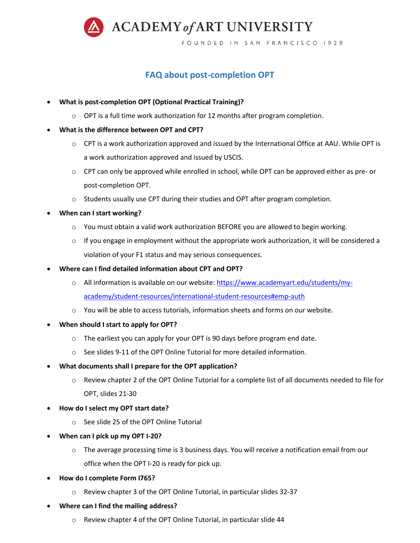

**FAQ about post-completion OPT**

- **What is post-completion OPT (Optional Practical Training)?**
	- $\circ$  OPT is a full time work authorization for 12 months after program completion.
- **What is the difference between OPT and CPT?**
	- o CPT is a work authorization approved and issued by the International Office at AAU. While OPT is a work authorization approved and issued by USCIS.
	- $\circ$  CPT can only be approved while enrolled in school, while OPT can be approved either as pre- or post-completion OPT.
	- o Students usually use CPT during their studies and OPT after program completion.
- **When can I start working?**
	- o You must obtain a valid work authorization BEFORE you are allowed to begin working.
	- $\circ$  If you engage in employment without the appropriate work authorization, it will be considered a violation of your F1 status and may serious consequences.
- **Where can I find detailed information about CPT and OPT?** 
	- o All information is available on our website: [https://www.academyart.edu/students/my](https://www.academyart.edu/students/my-academy/student-resources/international-student-resources#emp-auth)[academy/student-resources/international-student-resources#emp-auth](https://www.academyart.edu/students/my-academy/student-resources/international-student-resources#emp-auth)
	- $\circ$  You will be able to access tutorials, information sheets and forms on our website.
- **When should I start to apply for OPT?**
	- $\circ$  The earliest you can apply for your OPT is 90 days before program end date.
	- $\circ$  See slides 9-11 of the OPT Online Tutorial for more detailed information.
- **What documents shall I prepare for the OPT application?**
	- o Review chapter 2 of the OPT Online Tutorial for a complete list of all documents needed to file for OPT, slides 21-30
- **How do I select my OPT start date?**
	- See slide 25 of the OPT Online Tutorial
- **When can I pick up my OPT I-20?**
	- o The average processing time is 3 business days. You will receive a notification email from our office when the OPT I-20 is ready for pick up.
- **How do I complete Form I765?**
	- o Review chapter 3 of the OPT Online Tutorial, in particular slides 32-37
- **Where can I find the mailing address?**
	- o Review chapter 4 of the OPT Online Tutorial, in particular slide 44